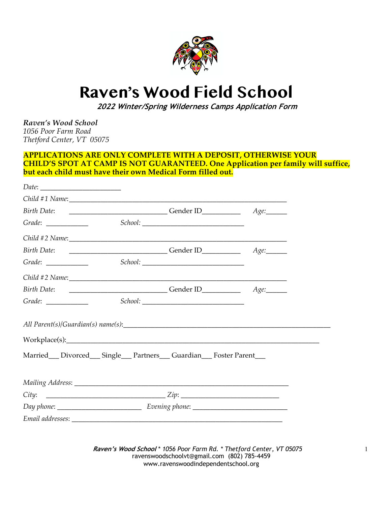

# **Raven's Wood Field School**

 **2022 Winter/Spring Wilderness Camps Application Form**

*Raven's Wood School 1056 Poor Farm Road Thetford Center, VT 05075*

#### **APPLICATIONS ARE ONLY COMPLETE WITH A DEPOSIT, OTHERWISE YOUR CHILD'S SPOT AT CAMP IS NOT GUARANTEED. One Application per family will suffice, but each child must have their own Medical Form filled out.**

| Grade: $\_\_$ |                                                                           |  |
|---------------|---------------------------------------------------------------------------|--|
|               |                                                                           |  |
|               |                                                                           |  |
| $Grade: \ \_$ |                                                                           |  |
|               | Child #2 Name:                                                            |  |
|               |                                                                           |  |
| $Grade: \ \_$ |                                                                           |  |
|               |                                                                           |  |
|               |                                                                           |  |
|               | Married __ Divorced __ Single __ Partners __ Guardian __ Foster Parent __ |  |
|               |                                                                           |  |
|               |                                                                           |  |
|               |                                                                           |  |
|               |                                                                           |  |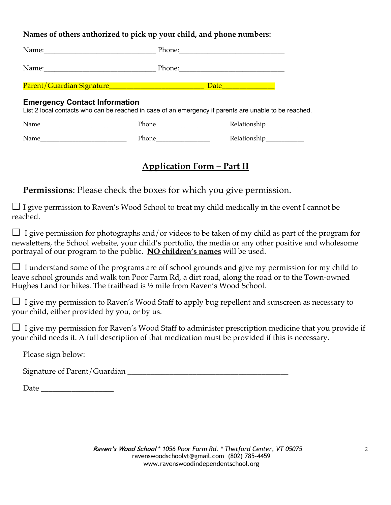## **Names of others authorized to pick up your child, and phone numbers:**

|                                      |                    | Phone: 2008 2010 2020 2020 2021 2021 2022 2021 2022 2022 2022 2022 2022 2022 2022 2022 2022 2022 2022 2022 20 |  |
|--------------------------------------|--------------------|---------------------------------------------------------------------------------------------------------------|--|
|                                      |                    |                                                                                                               |  |
| <b>Emergency Contact Information</b> |                    | List 2 local contacts who can be reached in case of an emergency if parents are unable to be reached.         |  |
|                                      | Phone Phone        | Relationship___________                                                                                       |  |
| Name                                 | <b>Phone</b> Phone | Relationship___________                                                                                       |  |

# **Application Form – Part II**

**Permissions**: Please check the boxes for which you give permission.

 $\Box$  I give permission to Raven's Wood School to treat my child medically in the event I cannot be reached.

 $\Box$  I give permission for photographs and/or videos to be taken of my child as part of the program for newsletters, the School website, your child's portfolio, the media or any other positive and wholesome portrayal of our program to the public. **NO children's names** will be used.

 $\Box$  I understand some of the programs are off school grounds and give my permission for my child to leave school grounds and walk ton Poor Farm Rd, a dirt road, along the road or to the Town-owned Hughes Land for hikes. The trailhead is ½ mile from Raven's Wood School.

 $\Box$  I give my permission to Raven's Wood Staff to apply bug repellent and sunscreen as necessary to your child, either provided by you, or by us.

□ I give my permission for Raven's Wood Staff to administer prescription medicine that you provide if your child needs it. A full description of that medication must be provided if this is necessary.

Please sign below:

Signature of Parent/Guardian \_\_\_\_\_\_\_\_\_\_\_\_\_\_\_\_\_\_\_\_\_\_\_\_\_\_\_\_\_\_\_\_\_\_\_\_\_\_\_\_\_\_

Date  $\Box$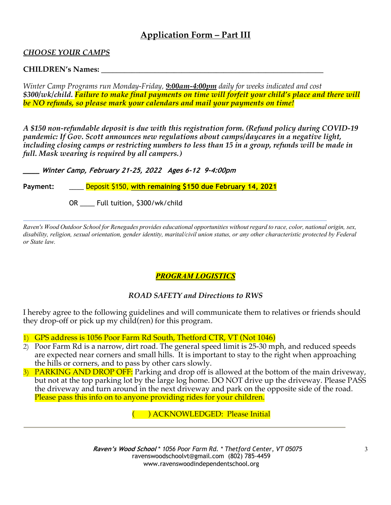## **Application Form – Part III**

### *CHOOSE YOUR CAMPS*

#### **CHILDREN's Names: \_\_\_\_\_\_\_\_\_\_\_\_\_\_\_\_\_\_\_\_\_\_\_\_\_\_\_\_\_\_\_\_\_\_\_\_\_\_\_\_\_\_\_\_\_\_\_\_\_\_\_\_\_\_\_\_\_\_**

*Winter Camp Programs run Monday-Friday, 9:00am-4:00pm daily for weeks indicated and cost \$300/wk/child. Failure to make final payments on time will forfeit your child's place and there will be NO refunds, so please mark your calendars and mail your payments on time!*

*A \$150 non-refundable deposit is due with this registration form. (Refund policy during COVID-19 pandemic: If Gov. Scott announces new regulations about camps/daycares in a negative light, including closing camps or restricting numbers to less than 15 in a group, refunds will be made in full. Mask wearing is required by all campers.)*

**\_\_\_\_ Winter Camp, February 21-25, 2022 Ages 6-12 9-4:00pm**

**Payment:** \_\_\_\_ Deposit \$150, **with remaining \$150 due February 14, 2021**

OR \_\_\_\_ Full tuition, \$300/wk/child

*Raven's Wood Outdoor School for Renegades provides educational opportunities without regard to race, color, national origin, sex, disability, religion, sexual orientation, gender identity, marital/civil union status, or any other characteristic protected by Federal or State law.*

## *PROGRAM LOGISTICS*

#### *ROAD SAFETY and Directions to RWS*

I hereby agree to the following guidelines and will communicate them to relatives or friends should they drop-off or pick up my child(ren) for this program.

1) GPS address is 1056 Poor Farm Rd South, Thetford CTR, VT (Not 1046)

- 2) Poor Farm Rd is a narrow, dirt road. The general speed limit is 25-30 mph, and reduced speeds are expected near corners and small hills. It is important to stay to the right when approaching the hills or corners, and to pass by other cars slowly.
- 3) PARKING AND DROP OFF: Parking and drop off is allowed at the bottom of the main driveway, but not at the top parking lot by the large log home. DO NOT drive up the driveway. Please PASS the driveway and turn around in the next driveway and park on the opposite side of the road. Please pass this info on to anyone providing rides for your children.

( ) ACKNOWLEDGED: Please Initial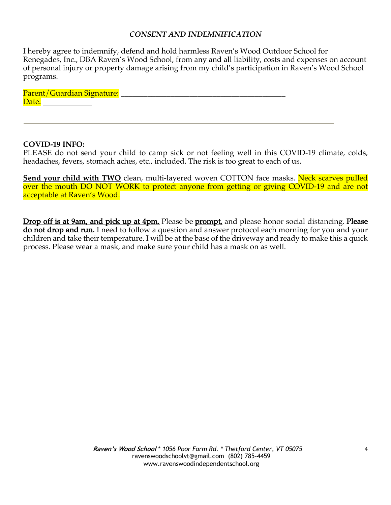#### *CONSENT AND INDEMNIFICATION*

I hereby agree to indemnify, defend and hold harmless Raven's Wood Outdoor School for Renegades, Inc., DBA Raven's Wood School, from any and all liability, costs and expenses on account of personal injury or property damage arising from my child's participation in Raven's Wood School programs.

Parent/Guardian Signature: \_\_\_\_\_\_\_\_\_\_\_\_\_\_\_\_\_\_\_\_\_\_\_\_\_\_\_\_\_\_\_\_\_\_\_\_\_\_\_\_\_\_\_ Date: when the contract of the contract of the contract of the contract of the contract of the contract of the contract of the contract of the contract of the contract of the contract of the contract of the contract of the

#### **COVID-19 INFO:**

PLEASE do not send your child to camp sick or not feeling well in this COVID-19 climate, colds, headaches, fevers, stomach aches, etc., included. The risk is too great to each of us.

**Send your child with TWO** clean, multi-layered woven COTTON face masks. Neck scarves pulled over the mouth DO NOT WORK to protect anyone from getting or giving COVID-19 and are not acceptable at Raven's Wood.

Drop off is at 9am, and pick up at 4pm. Please be prompt, and please honor social distancing. Please do not drop and run. I need to follow a question and answer protocol each morning for you and your children and take their temperature. I will be at the base of the driveway and ready to make this a quick process. Please wear a mask, and make sure your child has a mask on as well.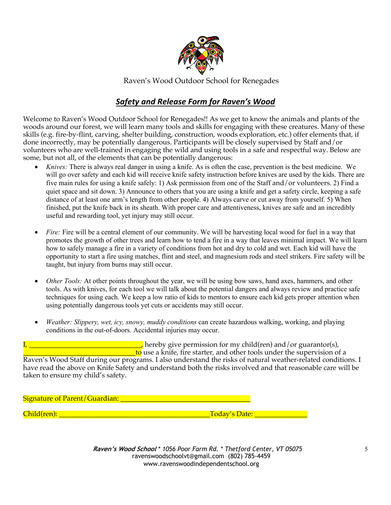

Raven's Wood Outdoor School for Renegades

## *Safety and Release Form for Raven's Wood*

Welcome to Raven's Wood Outdoor School for Renegades!! As we get to know the animals and plants of the woods around our forest, we will learn many tools and skills for engaging with these creatures. Many of these skills (e.g. fire-by-flint, carving, shelter building, construction, woods exploration, etc.) offer elements that, if done incorrectly, may be potentially dangerous. Participants will be closely supervised by Staff and/or volunteers who are well-trained in engaging the wild and using tools in a safe and respectful way. Below are some, but not all, of the elements that can be potentially dangerous:

- *Knives:* There is always real danger in using a knife. As is often the case, prevention is the best medicine. We will go over safety and each kid will receive knife safety instruction before knives are used by the kids. There are five main rules for using a knife safely: 1) Ask permission from one of the Staff and/or volunteers. 2) Find a quiet space and sit down. 3) Announce to others that you are using a knife and get a safety circle, keeping a safe distance of at least one arm's length from other people. 4) Always carve or cut away from yourself. 5) When finished, put the knife back in its sheath. With proper care and attentiveness, knives are safe and an incredibly useful and rewarding tool, yet injury may still occur.
- *Fire:* Fire will be a central element of our community. We will be harvesting local wood for fuel in a way that promotes the growth of other trees and learn how to tend a fire in a way that leaves minimal impact. We will learn how to safely manage a fire in a variety of conditions from hot and dry to cold and wet. Each kid will have the opportunity to start a fire using matches, flint and steel, and magnesium rods and steel strikers. Fire safety will be taught, but injury from burns may still occur.
- *Other Tools:* At other points throughout the year, we will be using bow saws, hand axes, hammers, and other tools. As with knives, for each tool we will talk about the potential dangers and always review and practice safe techniques for using each. We keep a low ratio of kids to mentors to ensure each kid gets proper attention when using potentially dangerous tools yet cuts or accidents may still occur.
- *Weather: Slippery, wet, icy, snowy, muddy conditions* can create hazardous walking, working, and playing conditions in the out-of-doors. Accidental injuries may occur.

I, hereby give permission for my child(ren) and/or guarantor(s),  $\frac{1}{\sqrt{1-\frac{1}{\sqrt{1-\frac{1}{\sqrt{1-\frac{1}{\sqrt{1-\frac{1}{\sqrt{1-\frac{1}{\sqrt{1-\frac{1}{\sqrt{1-\frac{1}{\sqrt{1-\frac{1}{\sqrt{1-\frac{1}{\sqrt{1-\frac{1}{\sqrt{1-\frac{1}{\sqrt{1-\frac{1}{\sqrt{1-\frac{1}{\sqrt{1-\frac{1}{\sqrt{1-\frac{1}{\sqrt{1-\frac{1}{\sqrt{1-\frac{1}{\sqrt{1-\frac{1}{\sqrt{1-\frac{1}{\sqrt{1-\frac{1}{\sqrt{1-\frac{1}{\sqrt{1-\frac{1}{\sqrt{1-\frac{1}{\sqrt{1-\frac{1$ 

Raven's Wood Staff during our programs. I also understand the risks of natural weather-related conditions. I have read the above on Knife Safety and understand both the risks involved and that reasonable care will be taken to ensure my child's safety.

Signature of Parent/Guardian: \_\_\_\_\_\_\_\_\_\_\_\_\_\_\_\_\_\_\_\_\_\_\_\_\_\_\_\_\_\_\_\_\_\_\_\_\_

Child(ren): \_\_\_\_\_\_\_\_\_\_\_\_\_\_\_\_\_\_\_\_\_\_\_\_\_\_\_\_\_\_\_\_\_\_\_\_\_\_\_\_\_\_\_Today's Date: \_\_\_\_\_\_\_\_\_\_\_\_\_\_\_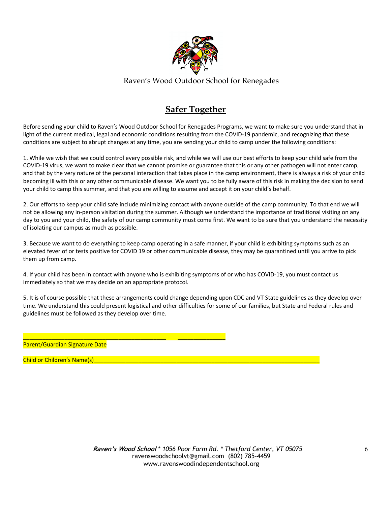

Raven's Wood Outdoor School for Renegades

# **Safer Together**

Before sending your child to Raven's Wood Outdoor School for Renegades Programs, we want to make sure you understand that in light of the current medical, legal and economic conditions resulting from the COVID-19 pandemic, and recognizing that these conditions are subject to abrupt changes at any time, you are sending your child to camp under the following conditions:

1. While we wish that we could control every possible risk, and while we will use our best efforts to keep your child safe from the COVID-19 virus, we want to make clear that we cannot promise or guarantee that this or any other pathogen will not enter camp, and that by the very nature of the personal interaction that takes place in the camp environment, there is always a risk of your child becoming ill with this or any other communicable disease. We want you to be fully aware of this risk in making the decision to send your child to camp this summer, and that you are willing to assume and accept it on your child's behalf.

2. Our efforts to keep your child safe include minimizing contact with anyone outside of the camp community. To that end we will not be allowing any in-person visitation during the summer. Although we understand the importance of traditional visiting on any day to you and your child, the safety of our camp community must come first. We want to be sure that you understand the necessity of isolating our campus as much as possible.

3. Because we want to do everything to keep camp operating in a safe manner, if your child is exhibiting symptoms such as an elevated fever of or tests positive for COVID 19 or other communicable disease, they may be quarantined until you arrive to pick them up from camp.

4. If your child has been in contact with anyone who is exhibiting symptoms of or who has COVID-19, you must contact us immediately so that we may decide on an appropriate protocol.

5. It is of course possible that these arrangements could change depending upon CDC and VT State guidelines as they develop over time. We understand this could present logistical and other difficulties for some of our families, but State and Federal rules and guidelines must be followed as they develop over time.

\_\_\_\_\_\_\_\_\_\_\_\_\_\_\_\_\_\_\_\_\_\_\_\_\_\_\_\_\_\_\_\_\_\_\_\_\_\_\_\_\_\_\_\_\_ \_\_\_\_\_\_\_\_\_\_\_\_\_\_\_ Parent/Guardian Signature Date

Child or Children's Name(s)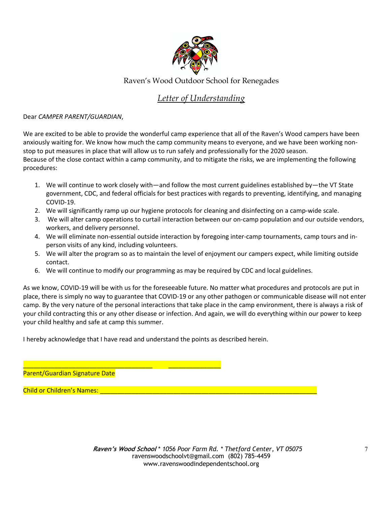

## Raven's Wood Outdoor School for Renegades

# *Letter of Understanding*

Dear *CAMPER PARENT/GUARDIAN*,

We are excited to be able to provide the wonderful camp experience that all of the Raven's Wood campers have been anxiously waiting for. We know how much the camp community means to everyone, and we have been working nonstop to put measures in place that will allow us to run safely and professionally for the 2020 season. Because of the close contact within a camp community, and to mitigate the risks, we are implementing the following procedures:

- 1. We will continue to work closely with—and follow the most current guidelines established by—the VT State government, CDC, and federal officials for best practices with regards to preventing, identifying, and managing COVID-19.
- 2. We will significantly ramp up our hygiene protocols for cleaning and disinfecting on a camp-wide scale.
- 3. We will alter camp operations to curtail interaction between our on-camp population and our outside vendors, workers, and delivery personnel.
- 4. We will eliminate non-essential outside interaction by foregoing inter-camp tournaments, camp tours and inperson visits of any kind, including volunteers.
- 5. We will alter the program so as to maintain the level of enjoyment our campers expect, while limiting outside contact.
- 6. We will continue to modify our programming as may be required by CDC and local guidelines.

As we know, COVID-19 will be with us for the foreseeable future. No matter what procedures and protocols are put in place, there is simply no way to guarantee that COVID-19 or any other pathogen or communicable disease will not enter camp. By the very nature of the personal interactions that take place in the camp environment, there is always a risk of your child contracting this or any other disease or infection. And again, we will do everything within our power to keep your child healthy and safe at camp this summer.

I hereby acknowledge that I have read and understand the points as described herein.

\_\_\_\_\_\_\_\_\_\_\_\_\_\_\_\_\_\_\_\_\_\_\_\_\_\_\_\_\_\_\_\_\_\_\_\_\_ \_\_\_\_\_\_\_\_\_\_\_\_\_\_\_

Parent/Guardian Signature Date

Child or Children's Names: